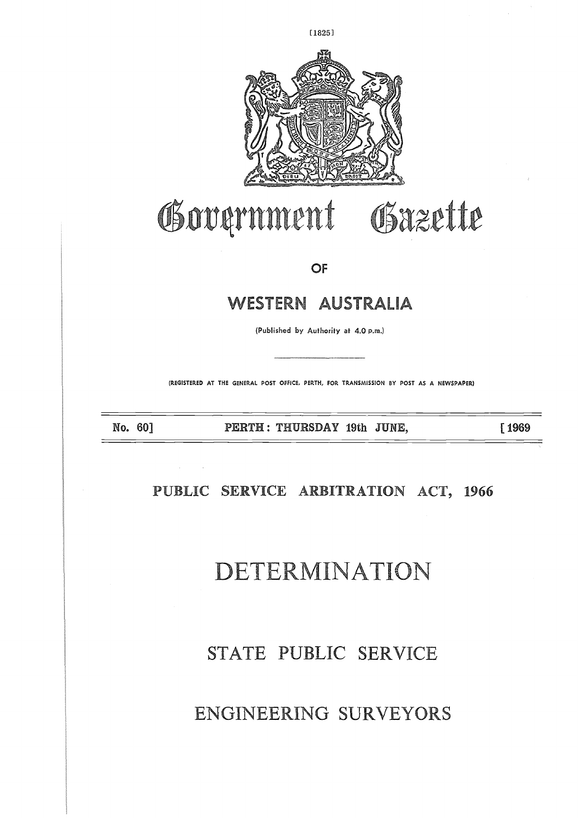# ENGINEERING SURVEYORS

## STATE PUBLIC SERVICE

# DETERMINATION

### PUBLIC SERVICE ARBITRATION ACT, 1966

No. 60]

PERTH: THURSDAY 19th JUNE,

[1969

# WESTERN AUSTRALIA

**OF** 

Government Gazette

(Published by Authority at 4.0 p.m.)

(REGISTERED AT THE GENERAL POST OFFICE, PERTH, FOR TRANSMISSION BY POST AS A NEWSPAPER)



 $[1825]$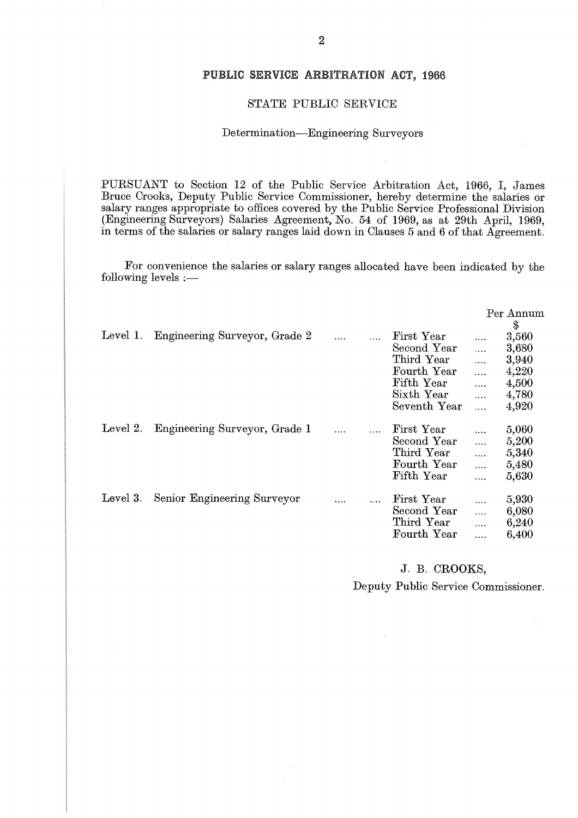#### **C SERVICE ARBITRATION ACT, <sup>1966</sup>**

#### STATE PUBLIC SERVICE

#### Determination—Engineering Surveyors

PURSUANT to Section 12 of the Public Service Arbitration Act, 1966, I, James Bruce Crooks, Deputy Public Service Commissioner, hereby determine the salaries or salary ranges appropriate to offices covered by the Public Service Professional Division (Engineering Surveyors) Salaries Agreement, No. 54 of 1969, as at 29th April, 1969, in terms of the salaries or salary ranges laid down in Clauses 5 and 6 of that Agreement.

For convenience the salaries or salary ranges allocated have been indicated by the following levels :—

|          |                               |   |              |          | Per Annum<br>\$ |
|----------|-------------------------------|---|--------------|----------|-----------------|
| Level 1. | Engineering Surveyor, Grade 2 |   | First Year   | .        | 3,560           |
|          |                               |   | Second Year  | $\cdots$ | 3,680           |
|          |                               |   | Third Year   | .        | 3,940           |
|          |                               |   | Fourth Year  | $\cdots$ | 4,220           |
|          |                               |   | Fifth Year   | .        | 4,500           |
|          |                               |   | Sixth Year   | .        | 4,780           |
|          |                               |   | Seventh Year | .        | 4,920           |
| Level 2. | Engineering Surveyor, Grade 1 |   | First Year   |          | 5,060           |
|          |                               |   | Second Year  | $\cdots$ | 5,200           |
|          |                               |   | Third Year   | $\cdots$ | 5,340           |
|          |                               |   | Fourth Year  | $\cdots$ | 5,480           |
|          |                               |   | Fifth Year   | .        | 5,630           |
| Level 3. | Senior Engineering Surveyor   | . | First Year   | .        | 5,930           |
|          |                               |   | Second Year  | .        | 6,080           |
|          |                               |   | Third Year   | .        | 6,240           |
|          |                               |   | Fourth Year  | .        | 6,400           |

#### J. **B. CROOKS,**

Deputy Public Service Commissioner.